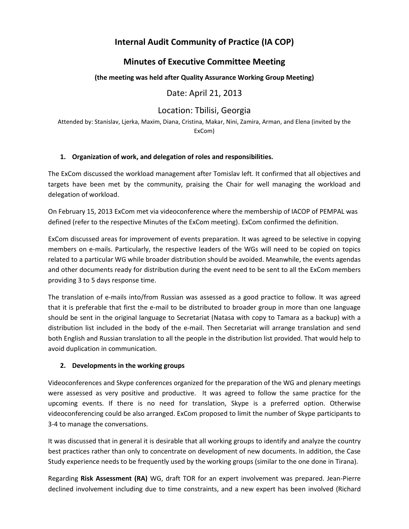# **Internal Audit Community of Practice (IA COP)**

# **Minutes of Executive Committee Meeting**

## **(the meeting was held after Quality Assurance Working Group Meeting)**

Date: April 21, 2013

# Location: Tbilisi, Georgia

Attended by: Stanislav, Ljerka, Maxim, Diana, Cristina, Makar, Nini, Zamira, Arman, and Elena (invited by the ExCom)

#### **1. Organization of work, and delegation of roles and responsibilities.**

The ExCom discussed the workload management after Tomislav left. It confirmed that all objectives and targets have been met by the community, praising the Chair for well managing the workload and delegation of workload.

On February 15, 2013 ExCom met via videoconference where the membership of IACOP of PEMPAL was defined (refer to the respective Minutes of the ExCom meeting). ExCom confirmed the definition.

ExCom discussed areas for improvement of events preparation. It was agreed to be selective in copying members on e-mails. Particularly, the respective leaders of the WGs will need to be copied on topics related to a particular WG while broader distribution should be avoided. Meanwhile, the events agendas and other documents ready for distribution during the event need to be sent to all the ExCom members providing 3 to 5 days response time.

The translation of e-mails into/from Russian was assessed as a good practice to follow. It was agreed that it is preferable that first the e-mail to be distributed to broader group in more than one language should be sent in the original language to Secretariat (Natasa with copy to Tamara as a backup) with a distribution list included in the body of the e-mail. Then Secretariat will arrange translation and send both English and Russian translation to all the people in the distribution list provided. That would help to avoid duplication in communication.

## **2. Developments in the working groups**

Videoconferences and Skype conferences organized for the preparation of the WG and plenary meetings were assessed as very positive and productive. It was agreed to follow the same practice for the upcoming events. If there is no need for translation, Skype is a preferred option. Otherwise videoconferencing could be also arranged. ExCom proposed to limit the number of Skype participants to 3-4 to manage the conversations.

It was discussed that in general it is desirable that all working groups to identify and analyze the country best practices rather than only to concentrate on development of new documents. In addition, the Case Study experience needs to be frequently used by the working groups (similar to the one done in Tirana).

Regarding **Risk Assessment (RA)** WG, draft TOR for an expert involvement was prepared. Jean-Pierre declined involvement including due to time constraints, and a new expert has been involved (Richard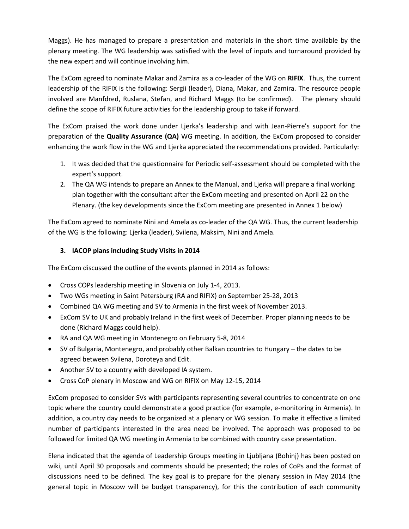Maggs). He has managed to prepare a presentation and materials in the short time available by the plenary meeting. The WG leadership was satisfied with the level of inputs and turnaround provided by the new expert and will continue involving him.

The ExCom agreed to nominate Makar and Zamira as a co-leader of the WG on **RIFIX**. Thus, the current leadership of the RIFIX is the following: Sergii (leader), Diana, Makar, and Zamira. The resource people involved are Manfdred, Ruslana, Stefan, and Richard Maggs (to be confirmed). The plenary should define the scope of RIFIX future activities for the leadership group to take if forward.

The ExCom praised the work done under Ljerka's leadership and with Jean-Pierre's support for the preparation of the **Quality Assurance (QA)** WG meeting. In addition, the ExCom proposed to consider enhancing the work flow in the WG and Ljerka appreciated the recommendations provided. Particularly:

- 1. It was decided that the questionnaire for Periodic self-assessment should be completed with the expert's support.
- 2. The QA WG intends to prepare an Annex to the Manual, and Ljerka will prepare a final working plan together with the consultant after the ExCom meeting and presented on April 22 on the Plenary. (the key developments since the ExCom meeting are presented in Annex 1 below)

The ExCom agreed to nominate Nini and Amela as co-leader of the QA WG. Thus, the current leadership of the WG is the following: Ljerka (leader), Svilena, Maksim, Nini and Amela.

## **3. IACOP plans including Study Visits in 2014**

The ExCom discussed the outline of the events planned in 2014 as follows:

- Cross COPs leadership meeting in Slovenia on July 1-4, 2013.
- Two WGs meeting in Saint Petersburg (RA and RIFIX) on September 25-28, 2013
- Combined QA WG meeting and SV to Armenia in the first week of November 2013.
- ExCom SV to UK and probably Ireland in the first week of December. Proper planning needs to be done (Richard Maggs could help).
- RA and QA WG meeting in Montenegro on February 5-8, 2014
- SV of Bulgaria, Montenegro, and probably other Balkan countries to Hungary the dates to be agreed between Svilena, Doroteya and Edit.
- Another SV to a country with developed IA system.
- Cross CoP plenary in Moscow and WG on RIFIX on May 12-15, 2014

ExCom proposed to consider SVs with participants representing several countries to concentrate on one topic where the country could demonstrate a good practice (for example, e-monitoring in Armenia). In addition, a country day needs to be organized at a plenary or WG session. To make it effective a limited number of participants interested in the area need be involved. The approach was proposed to be followed for limited QA WG meeting in Armenia to be combined with country case presentation.

Elena indicated that the agenda of Leadership Groups meeting in Ljubljana (Bohinj) has been posted on wiki, until April 30 proposals and comments should be presented; the roles of CoPs and the format of discussions need to be defined. The key goal is to prepare for the plenary session in May 2014 (the general topic in Moscow will be budget transparency), for this the contribution of each community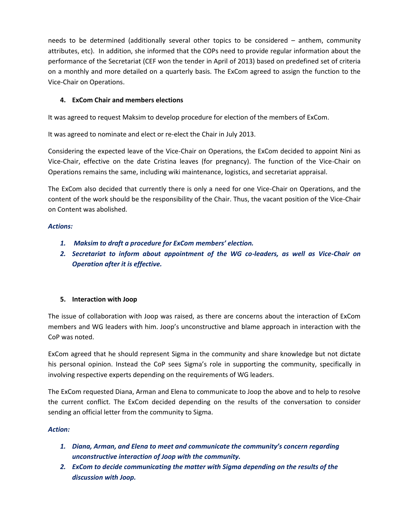needs to be determined (additionally several other topics to be considered – anthem, community attributes, etc). In addition, she informed that the COPs need to provide regular information about the performance of the Secretariat (CEF won the tender in April of 2013) based on predefined set of criteria on a monthly and more detailed on a quarterly basis. The ExCom agreed to assign the function to the Vice-Chair on Operations.

## **4. ExCom Chair and members elections**

It was agreed to request Maksim to develop procedure for election of the members of ExCom.

It was agreed to nominate and elect or re-elect the Chair in July 2013.

Considering the expected leave of the Vice-Chair on Operations, the ExCom decided to appoint Nini as Vice-Chair, effective on the date Cristina leaves (for pregnancy). The function of the Vice-Chair on Operations remains the same, including wiki maintenance, logistics, and secretariat appraisal.

The ExCom also decided that currently there is only a need for one Vice-Chair on Operations, and the content of the work should be the responsibility of the Chair. Thus, the vacant position of the Vice-Chair on Content was abolished.

#### *Actions:*

- *1. Maksim to draft a procedure for ExCom members' election.*
- *2. Secretariat to inform about appointment of the WG co-leaders, as well as Vice-Chair on Operation after it is effective.*

## **5. Interaction with Joop**

The issue of collaboration with Joop was raised, as there are concerns about the interaction of ExCom members and WG leaders with him. Joop's unconstructive and blame approach in interaction with the CoP was noted.

ExCom agreed that he should represent Sigma in the community and share knowledge but not dictate his personal opinion. Instead the CoP sees Sigma's role in supporting the community, specifically in involving respective experts depending on the requirements of WG leaders.

The ExCom requested Diana, Arman and Elena to communicate to Joop the above and to help to resolve the current conflict. The ExCom decided depending on the results of the conversation to consider sending an official letter from the community to Sigma.

## *Action:*

- *1. Diana, Arman, and Elena to meet and communicate the community's concern regarding unconstructive interaction of Joop with the community.*
- *2. ExCom to decide communicating the matter with Sigma depending on the results of the discussion with Joop.*